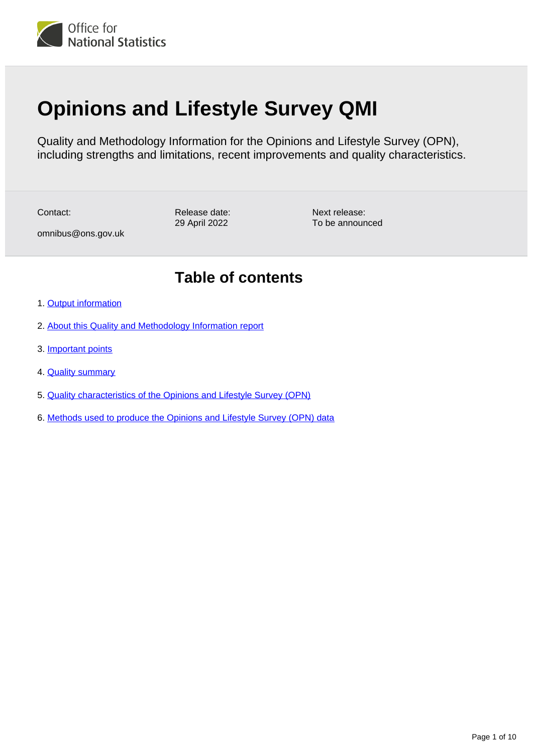

# **Opinions and Lifestyle Survey QMI**

Quality and Methodology Information for the Opinions and Lifestyle Survey (OPN), including strengths and limitations, recent improvements and quality characteristics.

Contact:

Release date: 29 April 2022

Next release: To be announced

omnibus@ons.gov.uk

## **Table of contents**

- 1. [Output information](#page-1-0)
- 2. [About this Quality and Methodology Information report](#page-1-1)
- 3. [Important points](#page-1-2)
- 4. [Quality summary](#page-2-0)
- 5. [Quality characteristics of the Opinions and Lifestyle Survey \(OPN\)](#page-4-0)
- 6. [Methods used to produce the Opinions and Lifestyle Survey \(OPN\) data](#page-7-0)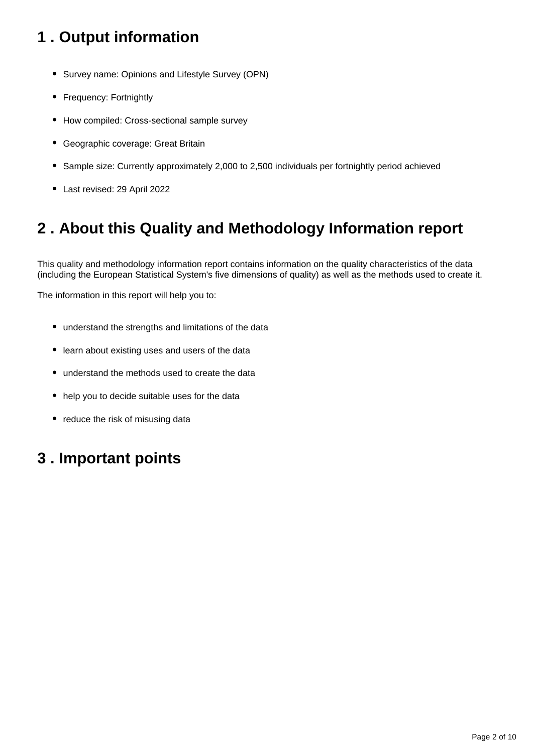## <span id="page-1-0"></span>**1 . Output information**

- Survey name: Opinions and Lifestyle Survey (OPN)
- Frequency: Fortnightly
- How compiled: Cross-sectional sample survey
- Geographic coverage: Great Britain
- Sample size: Currently approximately 2,000 to 2,500 individuals per fortnightly period achieved
- Last revised: 29 April 2022

## <span id="page-1-1"></span>**2 . About this Quality and Methodology Information report**

This quality and methodology information report contains information on the quality characteristics of the data (including the European Statistical System's five dimensions of quality) as well as the methods used to create it.

The information in this report will help you to:

- understand the strengths and limitations of the data
- learn about existing uses and users of the data
- understand the methods used to create the data
- help you to decide suitable uses for the data
- reduce the risk of misusing data

## <span id="page-1-2"></span>**3 . Important points**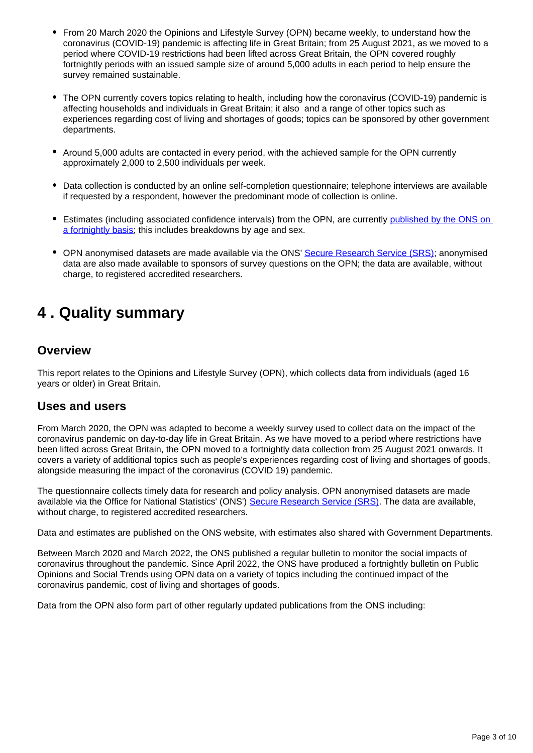- From 20 March 2020 the Opinions and Lifestyle Survey (OPN) became weekly, to understand how the coronavirus (COVID-19) pandemic is affecting life in Great Britain; from 25 August 2021, as we moved to a period where COVID-19 restrictions had been lifted across Great Britain, the OPN covered roughly fortnightly periods with an issued sample size of around 5,000 adults in each period to help ensure the survey remained sustainable.
- The OPN currently covers topics relating to health, including how the coronavirus (COVID-19) pandemic is affecting households and individuals in Great Britain; it also and a range of other topics such as experiences regarding cost of living and shortages of goods; topics can be sponsored by other government departments.
- Around 5,000 adults are contacted in every period, with the achieved sample for the OPN currently approximately 2,000 to 2,500 individuals per week.
- Data collection is conducted by an online self-completion questionnaire; telephone interviews are available if requested by a respondent, however the predominant mode of collection is online.
- **Estimates (including associated confidence intervals) from the OPN, are currently published by the ONS on** [a fortnightly basis](https://www.ons.gov.uk/releases/publicopinionsandsocialtrendsgreatbritain30marchto24april2022); this includes breakdowns by age and sex.
- OPN anonymised datasets are made available via the ONS' [Secure Research Service \(SRS\)](https://www.ons.gov.uk/aboutus/whatwedo/statistics/requestingstatistics/approvedresearcherscheme/); anonymised data are also made available to sponsors of survey questions on the OPN; the data are available, without charge, to registered accredited researchers.

## <span id="page-2-0"></span>**4 . Quality summary**

#### **Overview**

This report relates to the Opinions and Lifestyle Survey (OPN), which collects data from individuals (aged 16 years or older) in Great Britain.

#### **Uses and users**

From March 2020, the OPN was adapted to become a weekly survey used to collect data on the impact of the coronavirus pandemic on day-to-day life in Great Britain. As we have moved to a period where restrictions have been lifted across Great Britain, the OPN moved to a fortnightly data collection from 25 August 2021 onwards. It covers a variety of additional topics such as people's experiences regarding cost of living and shortages of goods, alongside measuring the impact of the coronavirus (COVID 19) pandemic.

The questionnaire collects timely data for research and policy analysis. OPN anonymised datasets are made available via the Office for National Statistics' (ONS') [Secure Research Service \(SRS\).](https://www.ons.gov.uk/aboutus/whatwedo/statistics/requestingstatistics/approvedresearcherscheme/) The data are available, without charge, to registered accredited researchers.

Data and estimates are published on the ONS website, with estimates also shared with Government Departments.

Between March 2020 and March 2022, the ONS published a regular bulletin to monitor the social impacts of coronavirus throughout the pandemic. Since April 2022, the ONS have produced a fortnightly bulletin on Public Opinions and Social Trends using OPN data on a variety of topics including the continued impact of the coronavirus pandemic, cost of living and shortages of goods.

Data from the OPN also form part of other regularly updated publications from the ONS including: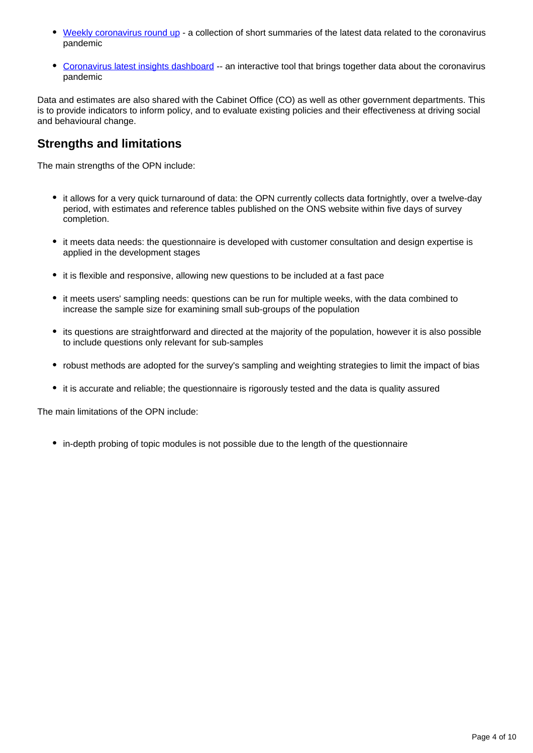- [Weekly coronavirus round up](https://www.ons.gov.uk/peoplepopulationandcommunity/healthandsocialcare/conditionsanddiseases/articles/coronaviruscovid19roundup/2020-03-26) a collection of short summaries of the latest data related to the coronavirus pandemic
- [Coronavirus latest insights dashboard](https://www.ons.gov.uk/peoplepopulationandcommunity/healthandsocialcare/conditionsanddiseases/articles/coronaviruscovid19/latestinsights) -- an interactive tool that brings together data about the coronavirus pandemic

Data and estimates are also shared with the Cabinet Office (CO) as well as other government departments. This is to provide indicators to inform policy, and to evaluate existing policies and their effectiveness at driving social and behavioural change.

### **Strengths and limitations**

The main strengths of the OPN include:

- it allows for a very quick turnaround of data: the OPN currently collects data fortnightly, over a twelve-day period, with estimates and reference tables published on the ONS website within five days of survey completion.
- it meets data needs: the questionnaire is developed with customer consultation and design expertise is applied in the development stages
- it is flexible and responsive, allowing new questions to be included at a fast pace
- it meets users' sampling needs: questions can be run for multiple weeks, with the data combined to increase the sample size for examining small sub-groups of the population
- its questions are straightforward and directed at the majority of the population, however it is also possible to include questions only relevant for sub-samples
- robust methods are adopted for the survey's sampling and weighting strategies to limit the impact of bias
- it is accurate and reliable; the questionnaire is rigorously tested and the data is quality assured

The main limitations of the OPN include:

• in-depth probing of topic modules is not possible due to the length of the questionnaire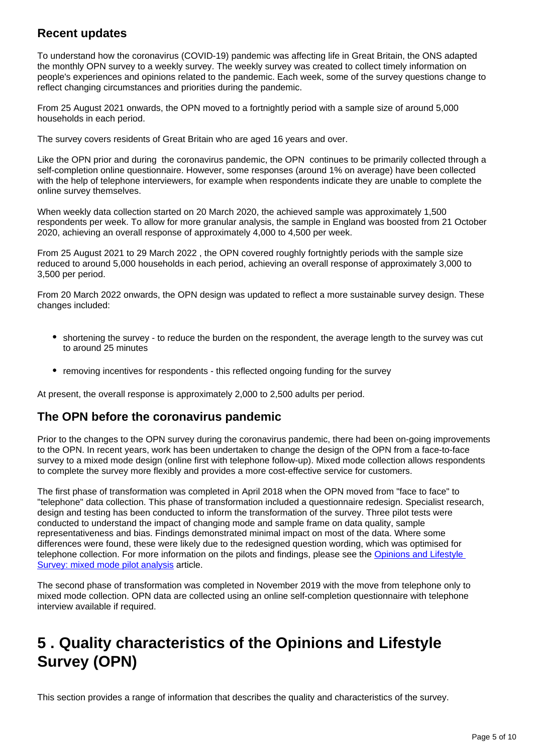### **Recent updates**

To understand how the coronavirus (COVID-19) pandemic was affecting life in Great Britain, the ONS adapted the monthly OPN survey to a weekly survey. The weekly survey was created to collect timely information on people's experiences and opinions related to the pandemic. Each week, some of the survey questions change to reflect changing circumstances and priorities during the pandemic.

From 25 August 2021 onwards, the OPN moved to a fortnightly period with a sample size of around 5,000 households in each period.

The survey covers residents of Great Britain who are aged 16 years and over.

Like the OPN prior and during the coronavirus pandemic, the OPN continues to be primarily collected through a self-completion online questionnaire. However, some responses (around 1% on average) have been collected with the help of telephone interviewers, for example when respondents indicate they are unable to complete the online survey themselves.

When weekly data collection started on 20 March 2020, the achieved sample was approximately 1,500 respondents per week. To allow for more granular analysis, the sample in England was boosted from 21 October 2020, achieving an overall response of approximately 4,000 to 4,500 per week.

From 25 August 2021 to 29 March 2022 , the OPN covered roughly fortnightly periods with the sample size reduced to around 5,000 households in each period, achieving an overall response of approximately 3,000 to 3,500 per period.

From 20 March 2022 onwards, the OPN design was updated to reflect a more sustainable survey design. These changes included:

- shortening the survey to reduce the burden on the respondent, the average length to the survey was cut to around 25 minutes
- removing incentives for respondents this reflected ongoing funding for the survey

At present, the overall response is approximately 2,000 to 2,500 adults per period.

#### **The OPN before the coronavirus pandemic**

Prior to the changes to the OPN survey during the coronavirus pandemic, there had been on-going improvements to the OPN. In recent years, work has been undertaken to change the design of the OPN from a face-to-face survey to a mixed mode design (online first with telephone follow-up). Mixed mode collection allows respondents to complete the survey more flexibly and provides a more cost-effective service for customers.

The first phase of transformation was completed in April 2018 when the OPN moved from "face to face" to "telephone" data collection. This phase of transformation included a questionnaire redesign. Specialist research, design and testing has been conducted to inform the transformation of the survey. Three pilot tests were conducted to understand the impact of changing mode and sample frame on data quality, sample representativeness and bias. Findings demonstrated minimal impact on most of the data. Where some differences were found, these were likely due to the redesigned question wording, which was optimised for telephone collection. For more information on the pilots and findings, please see the [Opinions and Lifestyle](https://www.ons.gov.uk/aboutus/whatwedo/paidservices/opinions/opinionsandlifestylesurveymixedmodepilotanalysis)  [Survey: mixed mode pilot analysis](https://www.ons.gov.uk/aboutus/whatwedo/paidservices/opinions/opinionsandlifestylesurveymixedmodepilotanalysis) article.

The second phase of transformation was completed in November 2019 with the move from telephone only to mixed mode collection. OPN data are collected using an online self-completion questionnaire with telephone interview available if required.

## <span id="page-4-0"></span>**5 . Quality characteristics of the Opinions and Lifestyle Survey (OPN)**

This section provides a range of information that describes the quality and characteristics of the survey.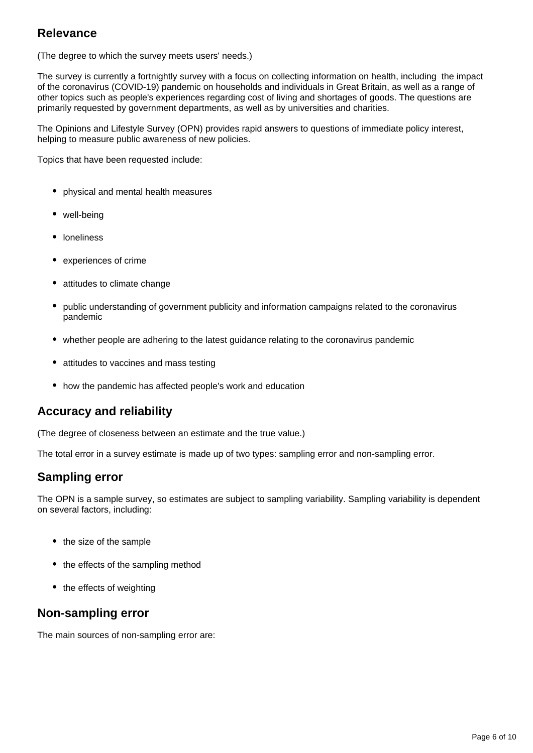### **Relevance**

(The degree to which the survey meets users' needs.)

The survey is currently a fortnightly survey with a focus on collecting information on health, including the impact of the coronavirus (COVID-19) pandemic on households and individuals in Great Britain, as well as a range of other topics such as people's experiences regarding cost of living and shortages of goods. The questions are primarily requested by government departments, as well as by universities and charities.

The Opinions and Lifestyle Survey (OPN) provides rapid answers to questions of immediate policy interest, helping to measure public awareness of new policies.

Topics that have been requested include:

- physical and mental health measures
- well-being
- loneliness
- experiences of crime
- attitudes to climate change
- public understanding of government publicity and information campaigns related to the coronavirus pandemic
- whether people are adhering to the latest quidance relating to the coronavirus pandemic
- attitudes to vaccines and mass testing
- how the pandemic has affected people's work and education

#### **Accuracy and reliability**

(The degree of closeness between an estimate and the true value.)

The total error in a survey estimate is made up of two types: sampling error and non-sampling error.

#### **Sampling error**

The OPN is a sample survey, so estimates are subject to sampling variability. Sampling variability is dependent on several factors, including:

- the size of the sample
- the effects of the sampling method
- the effects of weighting

#### **Non-sampling error**

The main sources of non-sampling error are: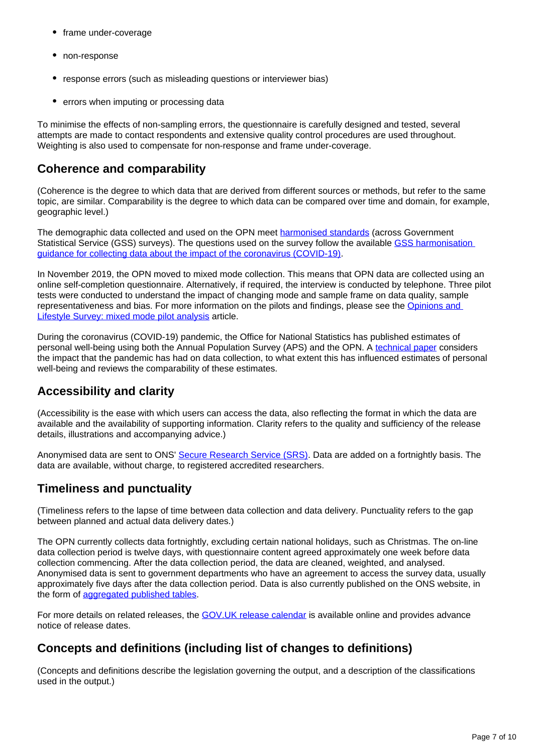- frame under-coverage
- non-response
- response errors (such as misleading questions or interviewer bias)
- errors when imputing or processing data

To minimise the effects of non-sampling errors, the questionnaire is carefully designed and tested, several attempts are made to contact respondents and extensive quality control procedures are used throughout. Weighting is also used to compensate for non-response and frame under-coverage.

### **Coherence and comparability**

(Coherence is the degree to which data that are derived from different sources or methods, but refer to the same topic, are similar. Comparability is the degree to which data can be compared over time and domain, for example, geographic level.)

The demographic data collected and used on the OPN meet [harmonised standards](https://gss.civilservice.gov.uk/guidances/harmonised-standards-guidance/) (across Government Statistical Service (GSS) surveys). The questions used on the survey follow the available [GSS harmonisation](https://gss.civilservice.gov.uk/policy-store/coronavirus-covid-19-harmonisation-guidance/)  [guidance for collecting data about the impact of the coronavirus \(COVID-19\).](https://gss.civilservice.gov.uk/policy-store/coronavirus-covid-19-harmonisation-guidance/)

In November 2019, the OPN moved to mixed mode collection. This means that OPN data are collected using an online self-completion questionnaire. Alternatively, if required, the interview is conducted by telephone. Three pilot tests were conducted to understand the impact of changing mode and sample frame on data quality, sample representativeness and bias. For more information on the pilots and findings, please see the [Opinions and](https://www.ons.gov.uk/aboutus/whatwedo/paidservices/opinions/opinionsandlifestylesurveymixedmodepilotanalysis)  [Lifestyle Survey: mixed mode pilot analysis](https://www.ons.gov.uk/aboutus/whatwedo/paidservices/opinions/opinionsandlifestylesurveymixedmodepilotanalysis) article.

During the coronavirus (COVID-19) pandemic, the Office for National Statistics has published estimates of personal well-being using both the Annual Population Survey (APS) and the OPN. A [technical paper](https://www.ons.gov.uk/releases/quarterlyestimatesofpersonalwellbeingintheukapril2011toseptember2020) considers the impact that the pandemic has had on data collection, to what extent this has influenced estimates of personal well-being and reviews the comparability of these estimates.

## **Accessibility and clarity**

(Accessibility is the ease with which users can access the data, also reflecting the format in which the data are available and the availability of supporting information. Clarity refers to the quality and sufficiency of the release details, illustrations and accompanying advice.)

Anonymised data are sent to ONS' [Secure Research Service \(SRS\)](https://www.ons.gov.uk/aboutus/whatwedo/statistics/requestingstatistics/approvedresearcherscheme/). Data are added on a fortnightly basis. The data are available, without charge, to registered accredited researchers.

## **Timeliness and punctuality**

(Timeliness refers to the lapse of time between data collection and data delivery. Punctuality refers to the gap between planned and actual data delivery dates.)

The OPN currently collects data fortnightly, excluding certain national holidays, such as Christmas. The on-line data collection period is twelve days, with questionnaire content agreed approximately one week before data collection commencing. After the data collection period, the data are cleaned, weighted, and analysed. Anonymised data is sent to government departments who have an agreement to access the survey data, usually approximately five days after the data collection period. Data is also currently published on the ONS website, in the form of [aggregated published tables.](https://www.ons.gov.uk/peoplepopulationandcommunity/healthandsocialcare/healthandwellbeing/datasets/coronavirusandthesocialimpactsongreatbritaindata)

For more details on related releases, the [GOV.UK release calendar](https://www.gov.uk/government/statistics/announcements) is available online and provides advance notice of release dates.

## **Concepts and definitions (including list of changes to definitions)**

(Concepts and definitions describe the legislation governing the output, and a description of the classifications used in the output.)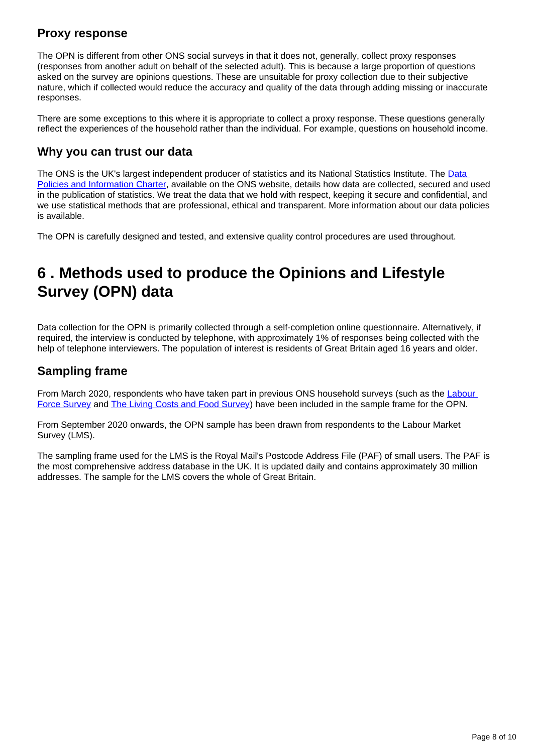### **Proxy response**

The OPN is different from other ONS social surveys in that it does not, generally, collect proxy responses (responses from another adult on behalf of the selected adult). This is because a large proportion of questions asked on the survey are opinions questions. These are unsuitable for proxy collection due to their subjective nature, which if collected would reduce the accuracy and quality of the data through adding missing or inaccurate responses.

There are some exceptions to this where it is appropriate to collect a proxy response. These questions generally reflect the experiences of the household rather than the individual. For example, questions on household income.

### **Why you can trust our data**

The ONS is the UK's largest independent producer of statistics and its National Statistics Institute. The Data [Policies and Information Charter,](https://www.ons.gov.uk/aboutus/transparencyandgovernance/lookingafterandusingdataforpublicbenefit/policies) available on the ONS website, details how data are collected, secured and used in the publication of statistics. We treat the data that we hold with respect, keeping it secure and confidential, and we use statistical methods that are professional, ethical and transparent. More information about our data policies is available.

The OPN is carefully designed and tested, and extensive quality control procedures are used throughout.

## <span id="page-7-0"></span>**6 . Methods used to produce the Opinions and Lifestyle Survey (OPN) data**

Data collection for the OPN is primarily collected through a self-completion online questionnaire. Alternatively, if required, the interview is conducted by telephone, with approximately 1% of responses being collected with the help of telephone interviewers. The population of interest is residents of Great Britain aged 16 years and older.

### **Sampling frame**

From March 2020, respondents who have taken part in previous ONS household surveys (such as the Labour [Force Survey](https://www.ons.gov.uk/employmentandlabourmarket/peopleinwork/employmentandemployeetypes/methodologies/labourforcesurveylfsqmi) and [The Living Costs and Food Survey](https://www.ons.gov.uk/peoplepopulationandcommunity/personalandhouseholdfinances/expenditure/methodologies/livingcostsandfoodsurveytechnicalreportfinancialyearsendingmarch2018andmarch2019)) have been included in the sample frame for the OPN.

From September 2020 onwards, the OPN sample has been drawn from respondents to the Labour Market Survey (LMS).

The sampling frame used for the LMS is the Royal Mail's Postcode Address File (PAF) of small users. The PAF is the most comprehensive address database in the UK. It is updated daily and contains approximately 30 million addresses. The sample for the LMS covers the whole of Great Britain.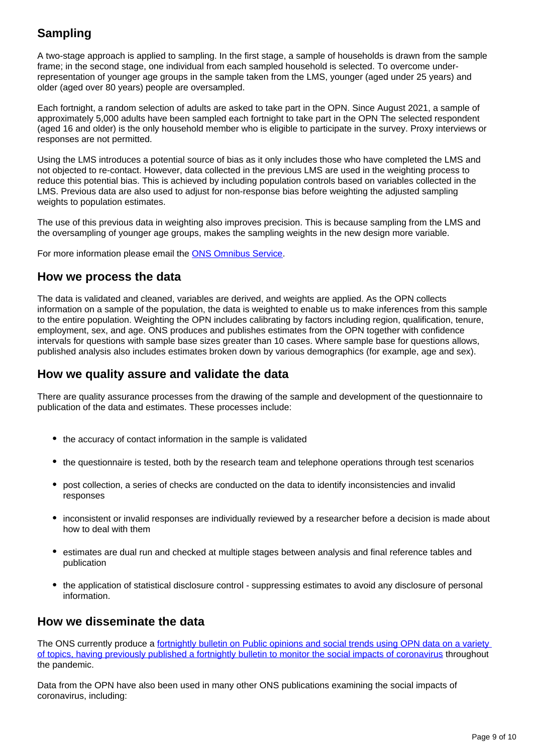## **Sampling**

A two-stage approach is applied to sampling. In the first stage, a sample of households is drawn from the sample frame; in the second stage, one individual from each sampled household is selected. To overcome underrepresentation of younger age groups in the sample taken from the LMS, younger (aged under 25 years) and older (aged over 80 years) people are oversampled.

Each fortnight, a random selection of adults are asked to take part in the OPN. Since August 2021, a sample of approximately 5,000 adults have been sampled each fortnight to take part in the OPN The selected respondent (aged 16 and older) is the only household member who is eligible to participate in the survey. Proxy interviews or responses are not permitted.

Using the LMS introduces a potential source of bias as it only includes those who have completed the LMS and not objected to re-contact. However, data collected in the previous LMS are used in the weighting process to reduce this potential bias. This is achieved by including population controls based on variables collected in the LMS. Previous data are also used to adjust for non-response bias before weighting the adjusted sampling weights to population estimates.

The use of this previous data in weighting also improves precision. This is because sampling from the LMS and the oversampling of younger age groups, makes the sampling weights in the new design more variable.

For more information please email the [ONS Omnibus Service.](mailto://omnibus@ons.gov.uk)

#### **How we process the data**

The data is validated and cleaned, variables are derived, and weights are applied. As the OPN collects information on a sample of the population, the data is weighted to enable us to make inferences from this sample to the entire population. Weighting the OPN includes calibrating by factors including region, qualification, tenure, employment, sex, and age. ONS produces and publishes estimates from the OPN together with confidence intervals for questions with sample base sizes greater than 10 cases. Where sample base for questions allows, published analysis also includes estimates broken down by various demographics (for example, age and sex).

#### **How we quality assure and validate the data**

There are quality assurance processes from the drawing of the sample and development of the questionnaire to publication of the data and estimates. These processes include:

- the accuracy of contact information in the sample is validated
- the questionnaire is tested, both by the research team and telephone operations through test scenarios
- post collection, a series of checks are conducted on the data to identify inconsistencies and invalid responses
- inconsistent or invalid responses are individually reviewed by a researcher before a decision is made about how to deal with them
- **estimates are dual run and checked at multiple stages between analysis and final reference tables and** publication
- the application of statistical disclosure control suppressing estimates to avoid any disclosure of personal information.

#### **How we disseminate the data**

The ONS currently produce a fortnightly bulletin on Public opinions and social trends using OPN data on a variety [of topics, having previously published a fortnightly bulletin to monitor the social impacts of coronavirus](https://www.ons.gov.uk/peoplepopulationandcommunity/healthandsocialcare/healthandwellbeing/bulletins/coronavirusandthesocialimpactsongreatbritain/previousReleases) throughout the pandemic.

Data from the OPN have also been used in many other ONS publications examining the social impacts of coronavirus, including: